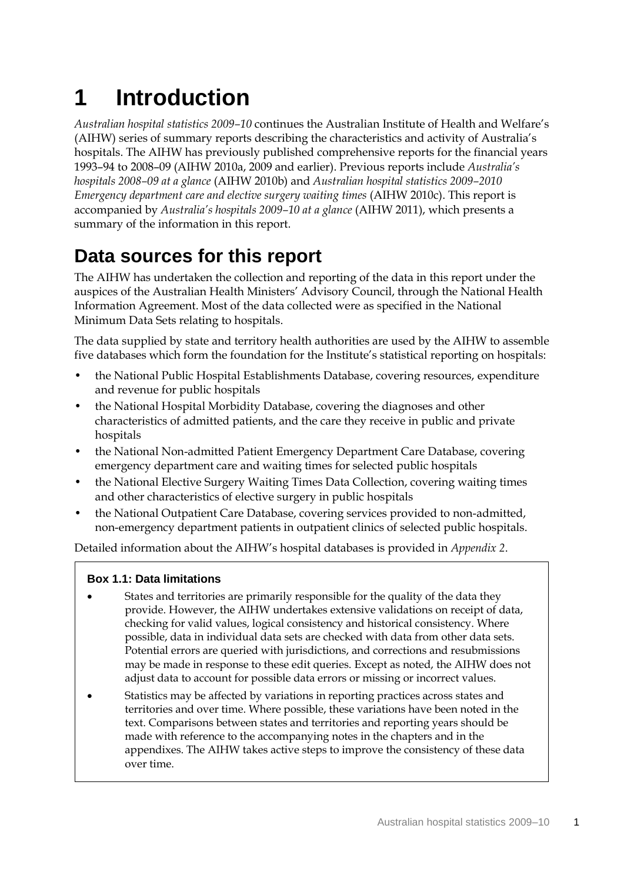# **1 Introduction**

*Australian hospital statistics 2009–10* continues the Australian Institute of Health and Welfare's (AIHW) series of summary reports describing the characteristics and activity of Australia's hospitals. The AIHW has previously published comprehensive reports for the financial years 1993–94 to 2008–09 (AIHW 2010a, 2009 and earlier). Previous reports include *Australia's hospitals 2008–09 at a glance* (AIHW 2010b) and *Australian hospital statistics 2009–2010 Emergency department care and elective surgery waiting times* (AIHW 2010c). This report is accompanied by *Australia's hospitals 2009–10 at a glance* (AIHW 2011), which presents a summary of the information in this report.

## **Data sources for this report**

The AIHW has undertaken the collection and reporting of the data in this report under the auspices of the Australian Health Ministers' Advisory Council, through the National Health Information Agreement. Most of the data collected were as specified in the National Minimum Data Sets relating to hospitals.

The data supplied by state and territory health authorities are used by the AIHW to assemble five databases which form the foundation for the Institute's statistical reporting on hospitals:

- the National Public Hospital Establishments Database, covering resources, expenditure and revenue for public hospitals
- the National Hospital Morbidity Database, covering the diagnoses and other characteristics of admitted patients, and the care they receive in public and private hospitals
- the National Non-admitted Patient Emergency Department Care Database, covering emergency department care and waiting times for selected public hospitals
- the National Elective Surgery Waiting Times Data Collection, covering waiting times and other characteristics of elective surgery in public hospitals
- the National Outpatient Care Database, covering services provided to non-admitted, non-emergency department patients in outpatient clinics of selected public hospitals.

Detailed information about the AIHW's hospital databases is provided in *Appendix 2*.

#### **Box 1.1: Data limitations**

- States and territories are primarily responsible for the quality of the data they provide. However, the AIHW undertakes extensive validations on receipt of data, checking for valid values, logical consistency and historical consistency. Where possible, data in individual data sets are checked with data from other data sets. Potential errors are queried with jurisdictions, and corrections and resubmissions may be made in response to these edit queries. Except as noted, the AIHW does not adjust data to account for possible data errors or missing or incorrect values.
- Statistics may be affected by variations in reporting practices across states and territories and over time. Where possible, these variations have been noted in the text. Comparisons between states and territories and reporting years should be made with reference to the accompanying notes in the chapters and in the appendixes. The AIHW takes active steps to improve the consistency of these data over time.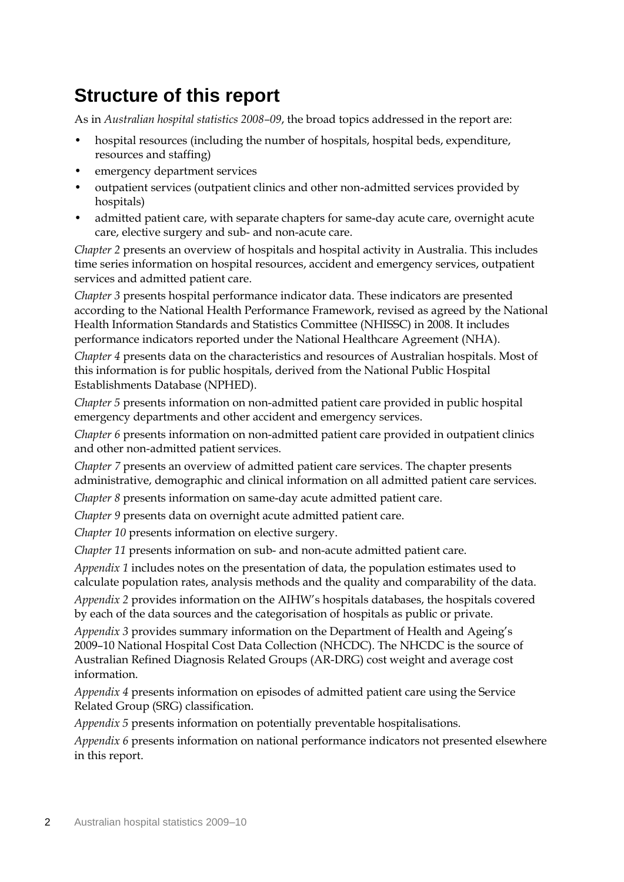### **Structure of this report**

As in *Australian hospital statistics 2008–09*, the broad topics addressed in the report are:

- hospital resources (including the number of hospitals, hospital beds, expenditure, resources and staffing)
- emergency department services
- outpatient services (outpatient clinics and other non-admitted services provided by hospitals)
- admitted patient care, with separate chapters for same-day acute care, overnight acute care, elective surgery and sub- and non-acute care.

*Chapter 2* presents an overview of hospitals and hospital activity in Australia. This includes time series information on hospital resources, accident and emergency services, outpatient services and admitted patient care.

*Chapter 3* presents hospital performance indicator data. These indicators are presented according to the National Health Performance Framework, revised as agreed by the National Health Information Standards and Statistics Committee (NHISSC) in 2008. It includes performance indicators reported under the National Healthcare Agreement (NHA).

*Chapter 4* presents data on the characteristics and resources of Australian hospitals. Most of this information is for public hospitals, derived from the National Public Hospital Establishments Database (NPHED).

*Chapter 5* presents information on non-admitted patient care provided in public hospital emergency departments and other accident and emergency services.

*Chapter 6* presents information on non-admitted patient care provided in outpatient clinics and other non-admitted patient services.

*Chapter 7* presents an overview of admitted patient care services. The chapter presents administrative, demographic and clinical information on all admitted patient care services.

*Chapter 8* presents information on same-day acute admitted patient care.

*Chapter 9* presents data on overnight acute admitted patient care.

*Chapter 10* presents information on elective surgery.

*Chapter 11* presents information on sub- and non-acute admitted patient care.

*Appendix 1* includes notes on the presentation of data, the population estimates used to calculate population rates, analysis methods and the quality and comparability of the data.

*Appendix 2* provides information on the AIHW's hospitals databases, the hospitals covered by each of the data sources and the categorisation of hospitals as public or private.

*Appendix 3* provides summary information on the Department of Health and Ageing's 2009–10 National Hospital Cost Data Collection (NHCDC). The NHCDC is the source of Australian Refined Diagnosis Related Groups (AR-DRG) cost weight and average cost information.

*Appendix 4* presents information on episodes of admitted patient care using the Service Related Group (SRG) classification.

*Appendix 5* presents information on potentially preventable hospitalisations.

*Appendix 6* presents information on national performance indicators not presented elsewhere in this report.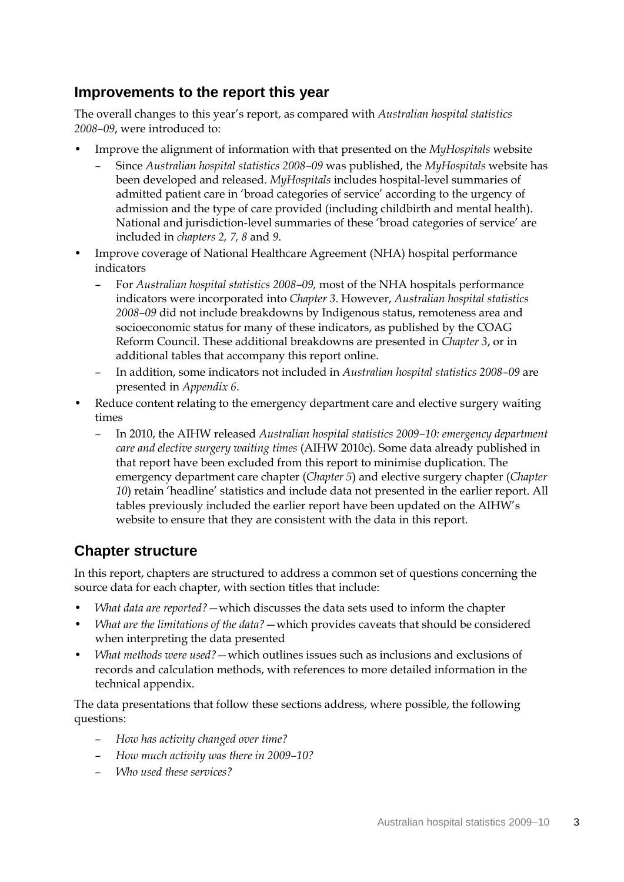#### **Improvements to the report this year**

The overall changes to this year's report, as compared with *Australian hospital statistics 2008–09*, were introduced to:

- Improve the alignment of information with that presented on the *MyHospitals* website
	- Since *Australian hospital statistics 2008–09* was published, the *MyHospitals* website has been developed and released. *MyHospitals* includes hospital-level summaries of admitted patient care in 'broad categories of service' according to the urgency of admission and the type of care provided (including childbirth and mental health). National and jurisdiction-level summaries of these 'broad categories of service' are included in *chapters 2, 7, 8* and *9*.
- Improve coverage of National Healthcare Agreement (NHA) hospital performance indicators
	- For *Australian hospital statistics 2008–09,* most of the NHA hospitals performance indicators were incorporated into *Chapter 3*. However, *Australian hospital statistics 2008–09* did not include breakdowns by Indigenous status, remoteness area and socioeconomic status for many of these indicators, as published by the COAG Reform Council. These additional breakdowns are presented in *Chapter 3*, or in additional tables that accompany this report online.
	- In addition, some indicators not included in *Australian hospital statistics 2008–09* are presented in *Appendix 6*.
- Reduce content relating to the emergency department care and elective surgery waiting times
	- In 2010, the AIHW released *Australian hospital statistics 2009–10: emergency department care and elective surgery waiting times* (AIHW 2010c). Some data already published in that report have been excluded from this report to minimise duplication. The emergency department care chapter (*Chapter 5*) and elective surgery chapter (*Chapter 10*) retain 'headline' statistics and include data not presented in the earlier report. All tables previously included the earlier report have been updated on the AIHW's website to ensure that they are consistent with the data in this report.

### **Chapter structure**

In this report, chapters are structured to address a common set of questions concerning the source data for each chapter, with section titles that include:

- *What data are reported?*—which discusses the data sets used to inform the chapter
- *What are the limitations of the data?*—which provides caveats that should be considered when interpreting the data presented
- *What methods were used?*—which outlines issues such as inclusions and exclusions of records and calculation methods, with references to more detailed information in the technical appendix.

The data presentations that follow these sections address, where possible, the following questions:

- *How has activity changed over time?*
- *How much activity was there in 2009–10?*
- *Who used these services?*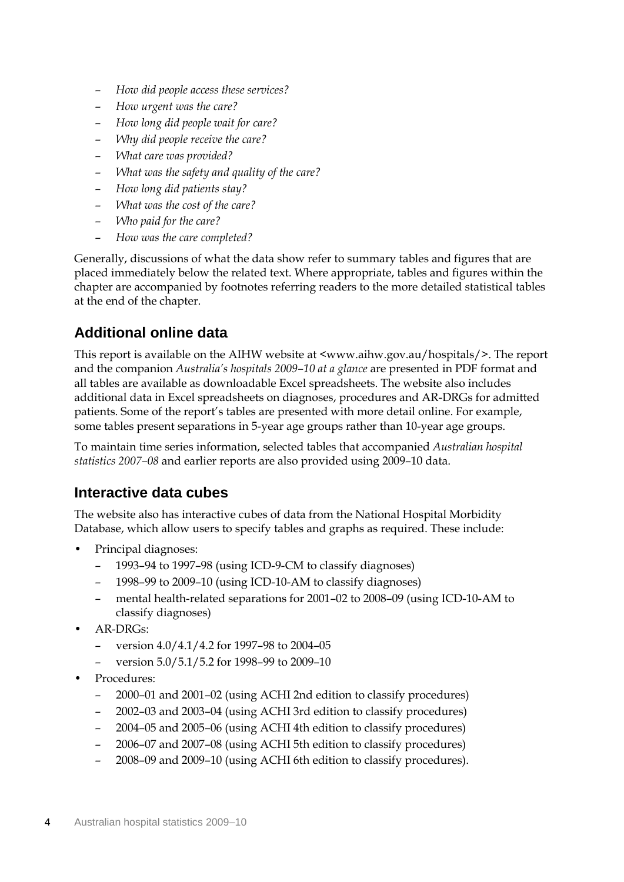- *How did people access these services?*
- *How urgent was the care?*
- *How long did people wait for care?*
- *Why did people receive the care?*
- *What care was provided?*
- *What was the safety and quality of the care?*
- *How long did patients stay?*
- *What was the cost of the care?*
- *Who paid for the care?*
- *How was the care completed?*

Generally, discussions of what the data show refer to summary tables and figures that are placed immediately below the related text. Where appropriate, tables and figures within the chapter are accompanied by footnotes referring readers to the more detailed statistical tables at the end of the chapter.

#### **Additional online data**

This report is available on the AIHW website at <www.aihw.gov.au/hospitals/>. The report and the companion *Australia's hospitals 2009–10 at a glance* are presented in PDF format and all tables are available as downloadable Excel spreadsheets. The website also includes additional data in Excel spreadsheets on diagnoses, procedures and AR-DRGs for admitted patients. Some of the report's tables are presented with more detail online. For example, some tables present separations in 5-year age groups rather than 10-year age groups.

To maintain time series information, selected tables that accompanied *Australian hospital statistics 2007–08* and earlier reports are also provided using 2009–10 data.

#### **Interactive data cubes**

The website also has interactive cubes of data from the National Hospital Morbidity Database, which allow users to specify tables and graphs as required. These include:

- Principal diagnoses:
	- 1993–94 to 1997–98 (using ICD-9-CM to classify diagnoses)
	- 1998–99 to 2009–10 (using ICD-10-AM to classify diagnoses)
	- mental health-related separations for 2001–02 to 2008–09 (using ICD-10-AM to classify diagnoses)
- AR-DRGs:
	- version 4.0/4.1/4.2 for 1997–98 to 2004–05
	- version 5.0/5.1/5.2 for 1998–99 to 2009–10
- Procedures:
	- 2000–01 and 2001–02 (using ACHI 2nd edition to classify procedures)
	- 2002–03 and 2003–04 (using ACHI 3rd edition to classify procedures)
	- 2004–05 and 2005–06 (using ACHI 4th edition to classify procedures)
	- 2006–07 and 2007–08 (using ACHI 5th edition to classify procedures)
	- 2008–09 and 2009–10 (using ACHI 6th edition to classify procedures).